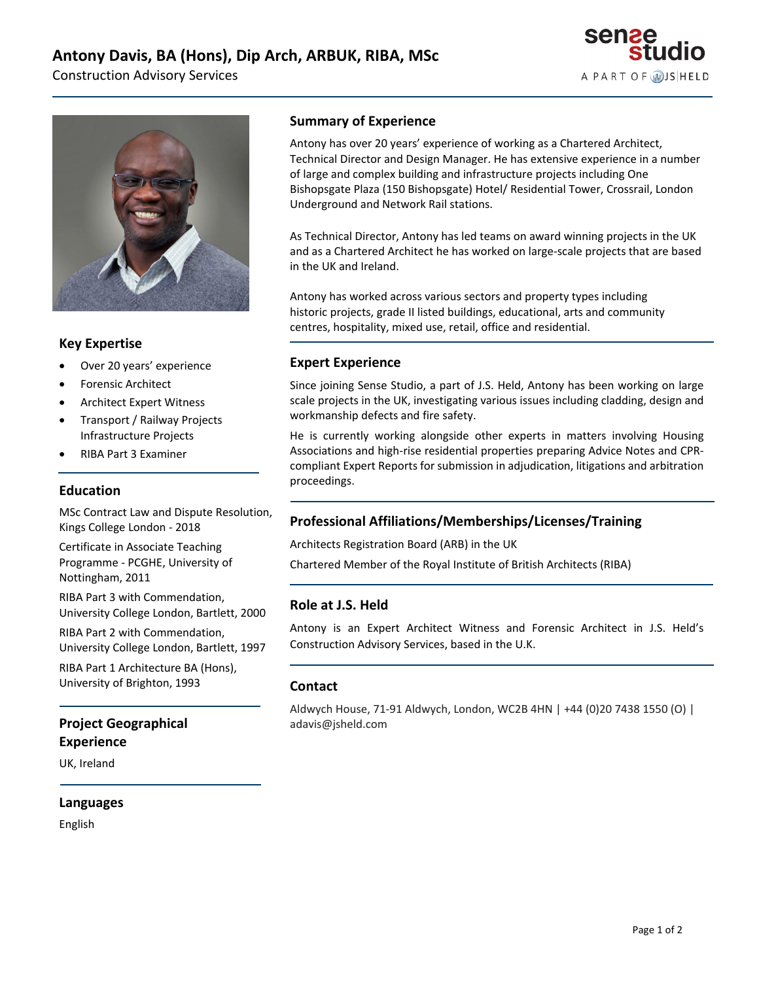Construction Advisory Services





# **Key Expertise**

- Over 20 years' experience
- Forensic Architect
- Architect Expert Witness
- Transport / Railway Projects Infrastructure Projects
- RIBA Part 3 Examiner

#### **Education**

MSc Contract Law and Dispute Resolution, Kings College London - 2018

Certificate in Associate Teaching Programme - PCGHE, University of Nottingham, 2011

RIBA Part 3 with Commendation, University College London, Bartlett, 2000

RIBA Part 2 with Commendation, University College London, Bartlett, 1997

RIBA Part 1 Architecture BA (Hons), University of Brighton, 1993

# **Project Geographical Experience**

UK, Ireland

#### **Languages**

English

#### **Summary of Experience**

Antony has over 20 years' experience of working as a Chartered Architect, Technical Director and Design Manager. He has extensive experience in a number of large and complex building and infrastructure projects including One Bishopsgate Plaza (150 Bishopsgate) Hotel/ Residential Tower, Crossrail, London Underground and Network Rail stations.

As Technical Director, Antony has led teams on award winning projects in the UK and as a Chartered Architect he has worked on large-scale projects that are based in the UK and Ireland.

Antony has worked across various sectors and property types including historic projects, grade II listed buildings, educational, arts and community centres, hospitality, mixed use, retail, office and residential.

#### **Expert Experience**

Since joining Sense Studio, a part of J.S. Held, Antony has been working on large scale projects in the UK, investigating various issues including cladding, design and workmanship defects and fire safety.

He is currently working alongside other experts in matters involving Housing Associations and high-rise residential properties preparing Advice Notes and CPRcompliant Expert Reports for submission in adjudication, litigations and arbitration proceedings.

# **Professional Affiliations/Memberships/Licenses/Training**

Architects Registration Board (ARB) in the UK

Chartered Member of the Royal Institute of British Architects (RIBA)

### **Role at J.S. Held**

Antony is an Expert Architect Witness and Forensic Architect in J.S. Held's Construction Advisory Services, based in the U.K.

#### **Contact**

Aldwych House, 71-91 Aldwych, London, WC2B 4HN | +44 (0)20 7438 1550 (O) | adavis@jsheld.com